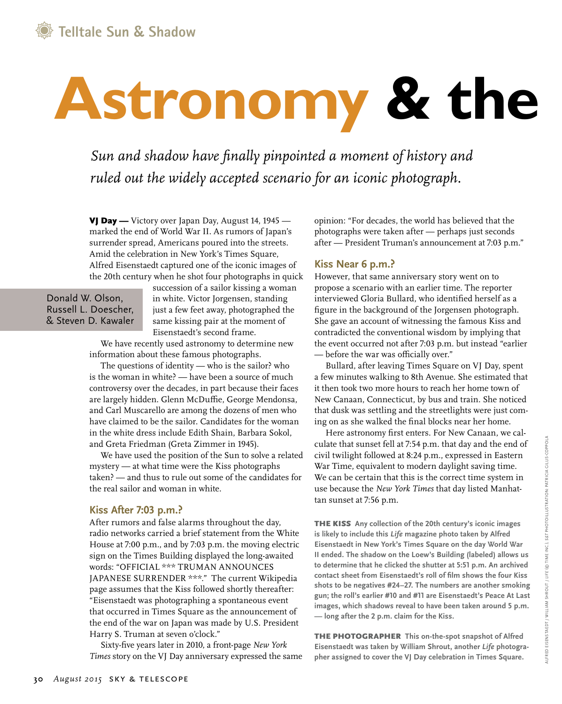# **Astronomy & the**

*Sun and shadow have finally pinpointed a moment of history and ruled out the widely accepted scenario for an iconic photograph.*

VJ Day — Victory over Japan Day, August 14, 1945 marked the end of World War II. As rumors of Japan's surrender spread, Americans poured into the streets. Amid the celebration in New York's Times Square, Alfred Eisenstaedt captured one of the iconic images of the 20th century when he shot four photographs in quick

Donald W. Olson, Russell L. Doescher, & Steven D. Kawaler

succession of a sailor kissing a woman in white. Victor Jorgensen, standing just a few feet away, photographed the same kissing pair at the moment of Eisenstaedt's second frame.

We have recently used astronomy to determine new information about these famous photographs.

The questions of identity — who is the sailor? who is the woman in white? — have been a source of much controversy over the decades, in part because their faces are largely hidden. Glenn McDuffie, George Mendonsa, and Carl Muscarello are among the dozens of men who have claimed to be the sailor. Candidates for the woman in the white dress include Edith Shain, Barbara Sokol, and Greta Friedman (Greta Zimmer in 1945).

We have used the position of the Sun to solve a related mystery — at what time were the Kiss photographs taken? — and thus to rule out some of the candidates for the real sailor and woman in white.

### **Kiss After 7:03 p.m.?**

After rumors and false alarms throughout the day, radio networks carried a brief statement from the White House at 7:00 p.m., and by 7:03 p.m. the moving electric sign on the Times Building displayed the long-awaited words: "OFFICIAL \*\*\* TRUMAN ANNOUNCES JAPANESE SURRENDER \*\*\*." The current Wikipedia page assumes that the Kiss followed shortly thereafter: "Eisenstaedt was photographing a spontaneous event that occurred in Times Square as the announcement of the end of the war on Japan was made by U.S. President Harry S. Truman at seven o'clock."

Sixty-five years later in 2010, a front-page *New York Times* story on the VJ Day anniversary expressed the same opinion: "For decades, the world has believed that the photographs were taken after — perhaps just seconds after — President Truman's announcement at 7:03 p.m."

# **Kiss Near 6 p.m.?**

However, that same anniversary story went on to propose a scenario with an earlier time. The reporter interviewed Gloria Bullard, who identified herself as a figure in the background of the Jorgensen photograph. She gave an account of witnessing the famous Kiss and contradicted the conventional wisdom by implying that the event occurred not after 7:03 p.m. but instead "earlier — before the war was officially over."

Bullard, after leaving Times Square on VJ Day, spent a few minutes walking to 8th Avenue. She estimated that it then took two more hours to reach her home town of New Canaan, Connecticut, by bus and train. She noticed that dusk was settling and the streetlights were just coming on as she walked the final blocks near her home.

Here astronomy first enters. For New Canaan, we calculate that sunset fell at 7:54 p.m. that day and the end of civil twilight followed at 8:24 p.m., expressed in Eastern War Time, equivalent to modern daylight saving time. We can be certain that this is the correct time system in use because the *New York Times* that day listed Manhattan sunset at 7:56 p.m.

THE KISS **Any collection of the 20th century's iconic images is likely to include this** *Life* **magazine photo taken by Alfred Eisenstaedt in New York's Times Square on the day World War II ended. The shadow on the Loew's Building (labeled) allows us to determine that he clicked the shutter at 5:51 p.m. An archived contact sheet from Eisenstaedt's roll of film shows the four Kiss shots to be negatives #24–27. The numbers are another smoking gun; the roll's earlier #10 and #11 are Eisenstaedt's Peace At Last images, which shadows reveal to have been taken around 5 p.m. — long after the 2 p.m. claim for the Kiss.**

The photographer **This on-the-spot snapshot of Alfred Eisenstaedt was taken by William Shrout, another** *Life* **photographer assigned to cover the VJ Day celebration in Times Square.**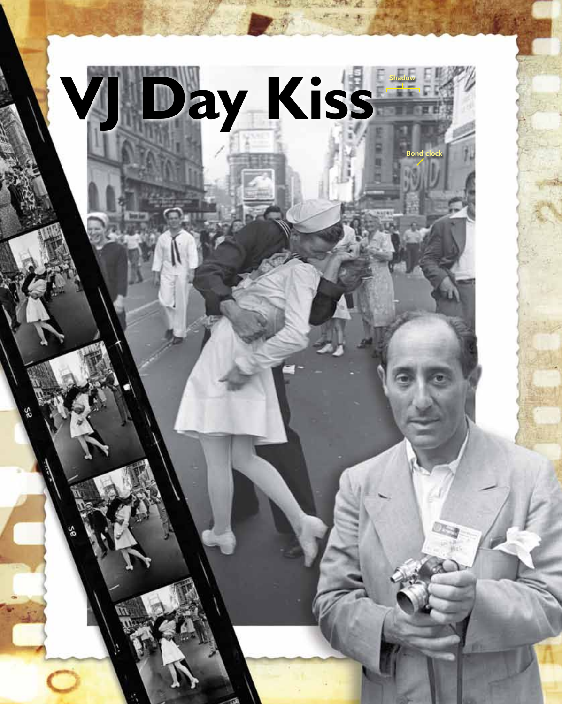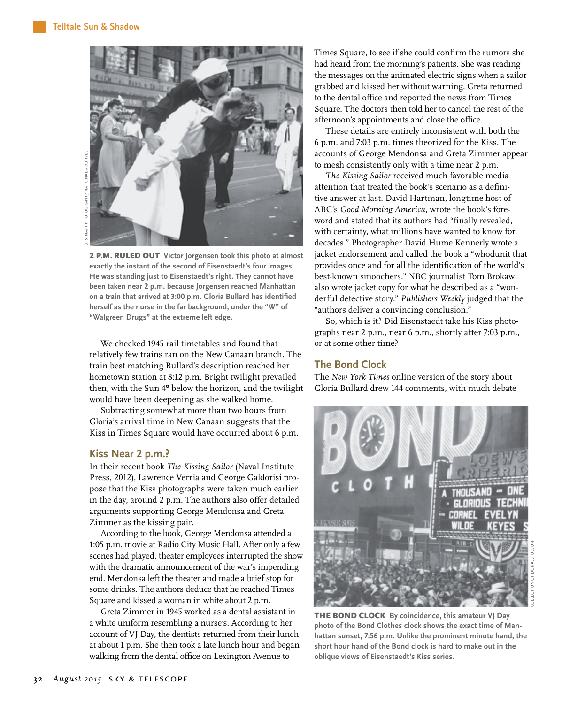

2 p.m. RULED OUT **Victor Jorgensen took this photo at almost exactly the instant of the second of Eisenstaedt's four images. He was standing just to Eisenstaedt's right. They cannot have been taken near 2 p.m. because Jorgensen reached Manhattan on a train that arrived at 3:00 p.m. Gloria Bullard has identified herself as the nurse in the far background, under the "W" of "Walgreen Drugs" at the extreme left edge.**

We checked 1945 rail timetables and found that relatively few trains ran on the New Canaan branch. The train best matching Bullard's description reached her hometown station at 8:12 p.m. Bright twilight prevailed then, with the Sun 4° below the horizon, and the twilight would have been deepening as she walked home.

Subtracting somewhat more than two hours from Gloria's arrival time in New Canaan suggests that the Kiss in Times Square would have occurred about 6 p.m.

#### **Kiss Near 2 p.m.?**

In their recent book *The Kissing Sailor* (Naval Institute Press, 2012), Lawrence Verria and George Galdorisi propose that the Kiss photographs were taken much earlier in the day, around 2 p.m. The authors also offer detailed arguments supporting George Mendonsa and Greta Zimmer as the kissing pair.

According to the book, George Mendonsa attended a 1:05 p.m. movie at Radio City Music Hall. After only a few scenes had played, theater employees interrupted the show with the dramatic announcement of the war's impending end. Mendonsa left the theater and made a brief stop for some drinks. The authors deduce that he reached Times Square and kissed a woman in white about 2 p.m.

Greta Zimmer in 1945 worked as a dental assistant in a white uniform resembling a nurse's. According to her account of VJ Day, the dentists returned from their lunch at about 1 p.m. She then took a late lunch hour and began walking from the dental office on Lexington Avenue to

Times Square, to see if she could confirm the rumors she had heard from the morning's patients. She was reading the messages on the animated electric signs when a sailor grabbed and kissed her without warning. Greta returned to the dental office and reported the news from Times Square. The doctors then told her to cancel the rest of the afternoon's appointments and close the office.

These details are entirely inconsistent with both the 6 p.m. and 7:03 p.m. times theorized for the Kiss. The accounts of George Mendonsa and Greta Zimmer appear to mesh consistently only with a time near 2 p.m.

*The Kissing Sailor* received much favorable media attention that treated the book's scenario as a definitive answer at last. David Hartman, longtime host of ABC's *Good Morning America,* wrote the book's foreword and stated that its authors had "finally revealed, with certainty, what millions have wanted to know for decades." Photographer David Hume Kennerly wrote a jacket endorsement and called the book a "whodunit that provides once and for all the identification of the world's best-known smoochers." NBC journalist Tom Brokaw also wrote jacket copy for what he described as a "wonderful detective story." *Publishers Weekly* judged that the "authors deliver a convincing conclusion."

So, which is it? Did Eisenstaedt take his Kiss photographs near 2 p.m., near 6 p.m., shortly after 7:03 p.m., or at some other time?

## **The Bond Clock**

The *New York Times* online version of the story about Gloria Bullard drew 144 comments, with much debate



Collection of Donald Olson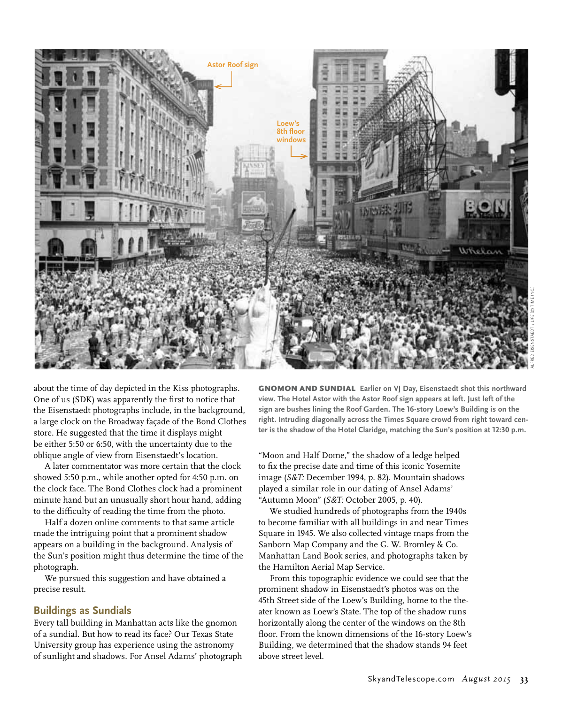

about the time of day depicted in the Kiss photographs. One of us (SDK) was apparently the first to notice that the Eisenstaedt photographs include, in the background, a large clock on the Broadway façade of the Bond Clothes store. He suggested that the time it displays might be either 5:50 or 6:50, with the uncertainty due to the oblique angle of view from Eisenstaedt's location.

A later commentator was more certain that the clock showed 5:50 p.m., while another opted for 4:50 p.m. on the clock face. The Bond Clothes clock had a prominent minute hand but an unusually short hour hand, adding to the difficulty of reading the time from the photo.

Half a dozen online comments to that same article made the intriguing point that a prominent shadow appears on a building in the background. Analysis of the Sun's position might thus determine the time of the photograph.

We pursued this suggestion and have obtained a precise result.

## **Buildings as Sundials**

Every tall building in Manhattan acts like the gnomon of a sundial. But how to read its face? Our Texas State University group has experience using the astronomy of sunlight and shadows. For Ansel Adams' photograph **GNOMON AND SUNDIAL Earlier on VI Day, Eisenstaedt shot this northward view. The Hotel Astor with the Astor Roof sign appears at left. Just left of the sign are bushes lining the Roof Garden. The 16-story Loew's Building is on the right. Intruding diagonally across the Times Square crowd from right toward center is the shadow of the Hotel Claridge, matching the Sun's position at 12:30 p.m.** 

"Moon and Half Dome," the shadow of a ledge helped to fix the precise date and time of this iconic Yosemite image (*S&T:* December 1994, p. 82). Mountain shadows played a similar role in our dating of Ansel Adams' "Autumn Moon" (*S&T:* October 2005, p. 40).

We studied hundreds of photographs from the 1940s to become familiar with all buildings in and near Times Square in 1945. We also collected vintage maps from the Sanborn Map Company and the G. W. Bromley & Co. Manhattan Land Book series, and photographs taken by the Hamilton Aerial Map Service.

From this topographic evidence we could see that the prominent shadow in Eisenstaedt's photos was on the 45th Street side of the Loew's Building, home to the theater known as Loew's State. The top of the shadow runs horizontally along the center of the windows on the 8th floor. From the known dimensions of the 16-story Loew's Building, we determined that the shadow stands 94 feet above street level.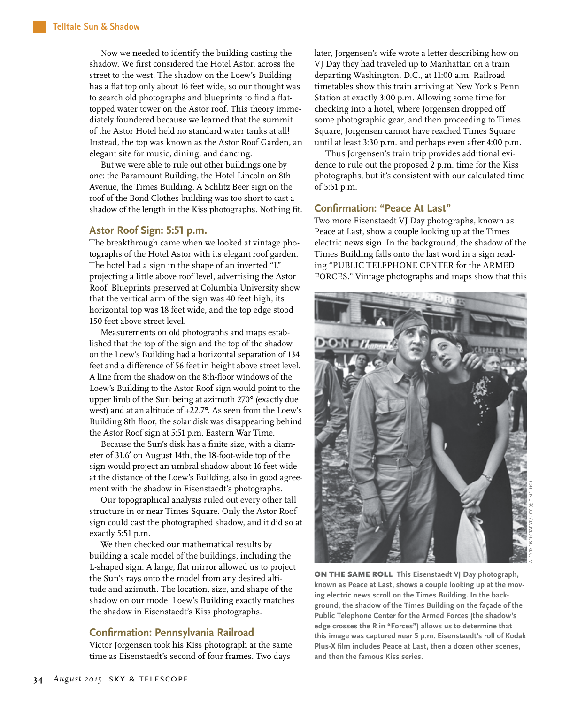Now we needed to identify the building casting the shadow. We first considered the Hotel Astor, across the street to the west. The shadow on the Loew's Building has a flat top only about 16 feet wide, so our thought was to search old photographs and blueprints to find a flattopped water tower on the Astor roof. This theory immediately foundered because we learned that the summit of the Astor Hotel held no standard water tanks at all! Instead, the top was known as the Astor Roof Garden, an elegant site for music, dining, and dancing.

But we were able to rule out other buildings one by one: the Paramount Building, the Hotel Lincoln on 8th Avenue, the Times Building. A Schlitz Beer sign on the roof of the Bond Clothes building was too short to cast a shadow of the length in the Kiss photographs. Nothing fit.

#### **Astor Roof Sign: 5:51 p.m.**

The breakthrough came when we looked at vintage photographs of the Hotel Astor with its elegant roof garden. The hotel had a sign in the shape of an inverted "L" projecting a little above roof level, advertising the Astor Roof. Blueprints preserved at Columbia University show that the vertical arm of the sign was 40 feet high, its horizontal top was 18 feet wide, and the top edge stood 150 feet above street level.

Measurements on old photographs and maps established that the top of the sign and the top of the shadow on the Loew's Building had a horizontal separation of 134 feet and a difference of 56 feet in height above street level. A line from the shadow on the 8th-floor windows of the Loew's Building to the Astor Roof sign would point to the upper limb of the Sun being at azimuth 270° (exactly due west) and at an altitude of +22.7°. As seen from the Loew's Building 8th floor, the solar disk was disappearing behind the Astor Roof sign at 5:51 p.m. Eastern War Time.

Because the Sun's disk has a finite size, with a diameter of 31.6′ on August 14th, the 18-foot-wide top of the sign would project an umbral shadow about 16 feet wide at the distance of the Loew's Building, also in good agreement with the shadow in Eisenstaedt's photographs.

Our topographical analysis ruled out every other tall structure in or near Times Square. Only the Astor Roof sign could cast the photographed shadow, and it did so at exactly 5:51 p.m.

We then checked our mathematical results by building a scale model of the buildings, including the L-shaped sign. A large, flat mirror allowed us to project the Sun's rays onto the model from any desired altitude and azimuth. The location, size, and shape of the shadow on our model Loew's Building exactly matches the shadow in Eisenstaedt's Kiss photographs.

#### **Confirmation: Pennsylvania Railroad**

Victor Jorgensen took his Kiss photograph at the same time as Eisenstaedt's second of four frames. Two days

later, Jorgensen's wife wrote a letter describing how on VJ Day they had traveled up to Manhattan on a train departing Washington, D.C., at 11:00 a.m. Railroad timetables show this train arriving at New York's Penn Station at exactly 3:00 p.m. Allowing some time for checking into a hotel, where Jorgensen dropped off some photographic gear, and then proceeding to Times Square, Jorgensen cannot have reached Times Square until at least 3:30 p.m. and perhaps even after 4:00 p.m.

Thus Jorgensen's train trip provides additional evidence to rule out the proposed 2 p.m. time for the Kiss photographs, but it's consistent with our calculated time of 5:51 p.m.

### **Confirmation: "Peace At Last"**

Two more Eisenstaedt VJ Day photographs, known as Peace at Last, show a couple looking up at the Times electric news sign. In the background, the shadow of the Times Building falls onto the last word in a sign reading "PUBLIC TELEPHONE CENTER for the ARMED FORCES." Vintage photographs and maps show that this



ON THE SAME ROLL **This Eisenstaedt VJ Day photograph, known as Peace at Last, shows a couple looking up at the moving electric news scroll on the Times Building. In the background, the shadow of the Times Building on the façade of the Public Telephone Center for the Armed Forces (the shadow's edge crosses the R in "Forces") allows us to determine that this image was captured near 5 p.m. Eisenstaedt's roll of Kodak Plus-X film includes Peace at Last, then a dozen other scenes, and then the famous Kiss series.**